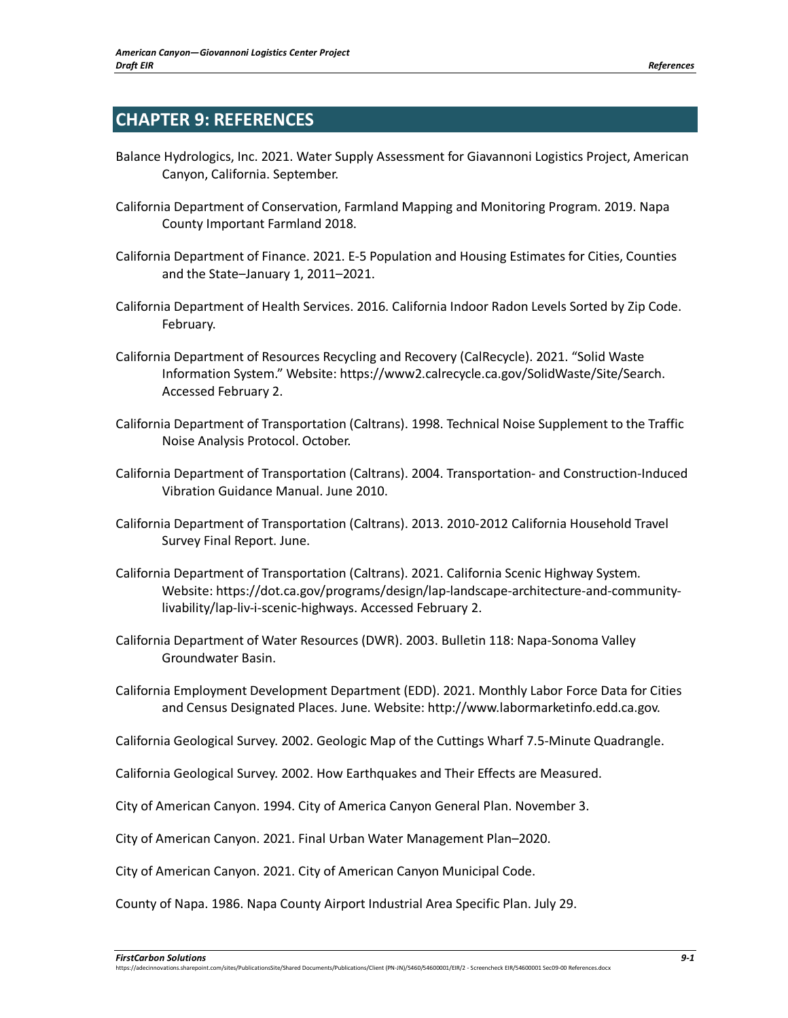## **CHAPTER 9: REFERENCES**

- Balance Hydrologics, Inc. 2021. Water Supply Assessment for Giavannoni Logistics Project, American Canyon, California. September.
- California Department of Conservation, Farmland Mapping and Monitoring Program. 2019. Napa County Important Farmland 2018.
- California Department of Finance. 2021. E-5 Population and Housing Estimates for Cities, Counties and the State–January 1, 2011–2021.
- California Department of Health Services. 2016. California Indoor Radon Levels Sorted by Zip Code. February.
- California Department of Resources Recycling and Recovery (CalRecycle). 2021. "Solid Waste Information System." Website: https://www2.calrecycle.ca.gov/SolidWaste/Site/Search. Accessed February 2.
- California Department of Transportation (Caltrans). 1998. Technical Noise Supplement to the Traffic Noise Analysis Protocol. October.
- California Department of Transportation (Caltrans). 2004. Transportation- and Construction-Induced Vibration Guidance Manual. June 2010.
- California Department of Transportation (Caltrans). 2013. 2010-2012 California Household Travel Survey Final Report. June.
- California Department of Transportation (Caltrans). 2021. California Scenic Highway System. Website: https://dot.ca.gov/programs/design/lap-landscape-architecture-and-communitylivability/lap-liv-i-scenic-highways. Accessed February 2.
- California Department of Water Resources (DWR). 2003. Bulletin 118: Napa-Sonoma Valley Groundwater Basin.
- California Employment Development Department (EDD). 2021. Monthly Labor Force Data for Cities and Census Designated Places. June. Website: http://www.labormarketinfo.edd.ca.gov.
- California Geological Survey. 2002. Geologic Map of the Cuttings Wharf 7.5-Minute Quadrangle.
- California Geological Survey. 2002. How Earthquakes and Their Effects are Measured.
- City of American Canyon. 1994. City of America Canyon General Plan. November 3.
- City of American Canyon. 2021. Final Urban Water Management Plan–2020.
- City of American Canyon. 2021. City of American Canyon Municipal Code.
- County of Napa. 1986. Napa County Airport Industrial Area Specific Plan. July 29.